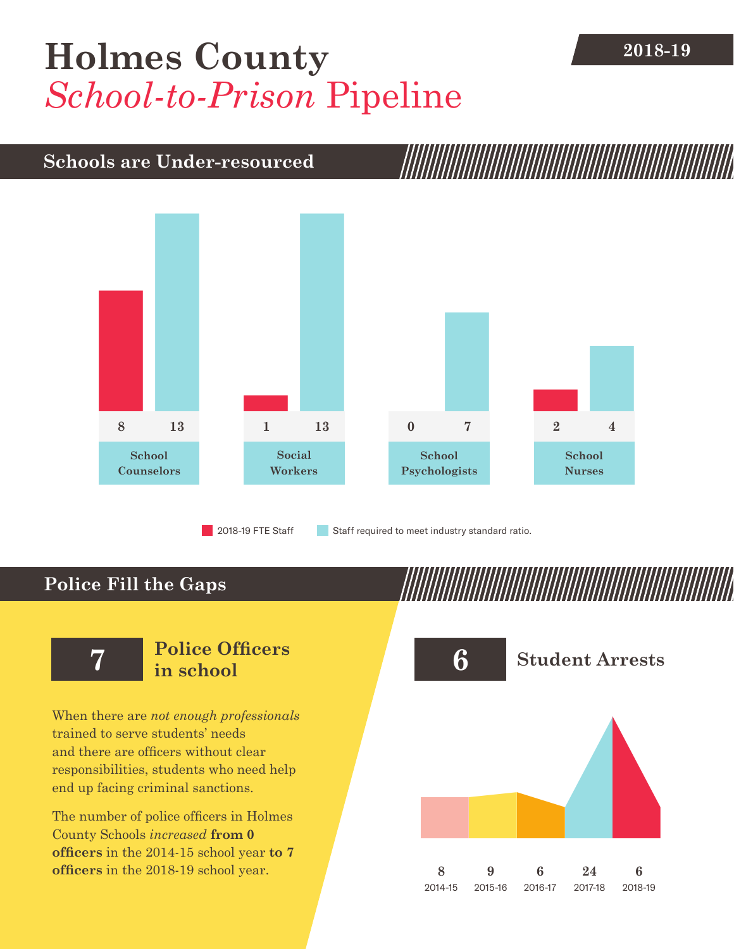## **[Holmes County](DBF_County) 2018-19** *School-to-Prison* Pipeline

## **Schools are Under-resourced**



**Police Fill the Gaps**

When there are *not enough professionals* trained to serve students' needs and there are officers without clear responsibilities, students who need help end up facing criminal sanctions.

The number of police officers in [Holmes](DBF_County)  [County](DBF_County) Schools *increased* **from [0](DBF_PO1415) officers** in the 2014-15 school year **to [7](DBF_PO) officers** in the 2018-19 school year.